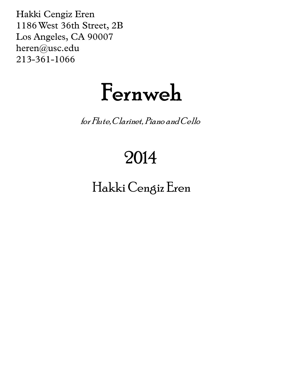Hakki Cengiz Eren 1186West 36th Street, 2B Los Angeles, CA 90007 heren@usc.edu 213-361-1066

# Fernweh

for Flute,Clarinet, Piano andCello

## 2014

HakkiCengiz Eren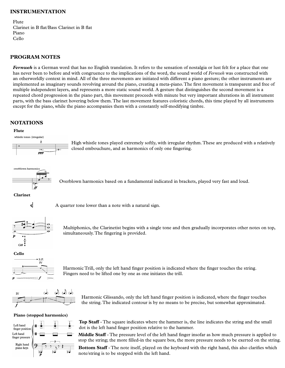#### **INSTRUMENTATION**

Flute Clarinet in B flat/Bass Clarinet in B flat Piano Cello

#### **PROGRAM NOTES**

*Fernweh* is a German word that has no English translation. It refers to the sensation of nostalgia or lust felt for a place that one has never been to before and with congruence to the implications of the word, the sound world of *Fernweh* was constructed with an otherworldly context in mind. All of the three movements are initiated with different a piano gesture; the other instruments are implemented as imaginary sounds revolving around the piano, creating a meta-piano.The first movement is transparent and free of multiple independent layers, and represents a more static sound world. A gesture that distinguishes the second movement is a repeated chord progression in the piano part, this movement proceeds with minute but very important alterations in all instrument parts, with the bass clarinet hovering below them.The last movement features coloristic chords, this time played by all instruments except for the piano, while the piano accompanies them with a constantly self-modifying timbre.

#### **NOTATIONS**

#### **Flute**

#### whistle tones (irregular)



High whistle tones played extremely softly, with irregular rhythm.These are produced with a relatively closed embouchure, and as harmonics of only one fingering.



Overblown harmonics based on afundamental indicated in brackets, played very fast and loud.

**Clarinet**



A quarter tone lower than a note with a natural sign.



Multiphonics, the Clarinetist begins with a single tone and then gradually incorporates other notes on top, simultaneously.The fingering is provided.

#### **Cello**



Harmonic Trill, only the left hand finger position is indicated where the finger touches the string. Fingers need to be lifted one by one as one initiates the trill.



Harmonic Glissando, only the left hand finger position is indicated, where the finger touches the string.The indicated contour is by no means to be precise, but somewhat approximated.

#### **Piano (stopped harmonics)**



**Top Staff** - The square indicates where the hammer is, the line indicates the string and the small dot is the left hand finger position relative to the hammer.

stop the string; the more filled-in the square box, the more pressure needs to be exerted on the string.

**Bottom Staff** - The note itself, played on the keyboard with the right hand, this also clarifies which Middle Staff - The pressure level of the left hand finger insofar as how much pressure is applied to stop the string; the more filled-in the square box, the more pressure needs to be exerted on the string. Bottom Staff - T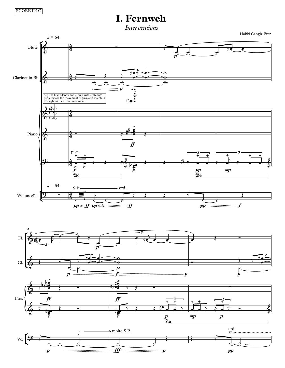Flute

 $\mathop{\mathrm{Piano}}$ 

Violoncello

lt⊄

 $\bigcirc$ 

 $l = 54$ 

Clarinet in  $\mathrm{B}\flat$ 

 $l = 54$ 

### I. Fernweh

*Interventions* 

Hakki Cengiz Eren  $\boldsymbol{p}$ depress keys silently and secure with sostenuto<br>pedal before the movement begins, and maintain<br>throughout the entire movement.  $\frac{1}{\sqrt{2}}$ <br>G#  $\frac{1}{\sqrt{2}}$  $\mathbf{\hat{J}}$ pizz. 3  $\ddot{}$  $\ddot{}$ ĭ  $\ddot{}$  $\boldsymbol{m}$  $\boldsymbol{pp}$  $\mathcal{P}_{\mathcal{E}}$  $\overline{\mathfrak{D}}$ 0.  $\rightarrow$  ord.  $S.P.$  $pp < ff pp$  sub.  $\boldsymbol{pp}$ .ff

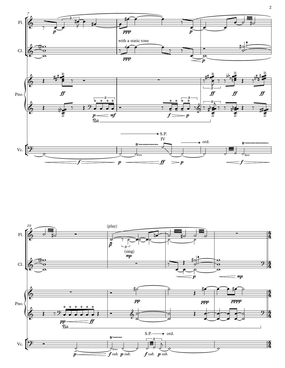

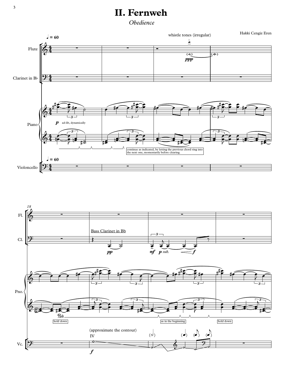### **II. Fernweh**

### *Obedience*



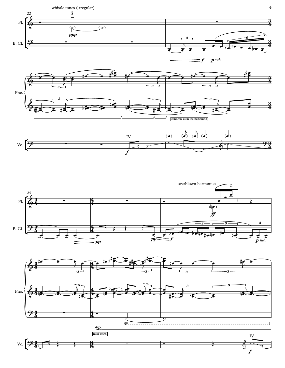

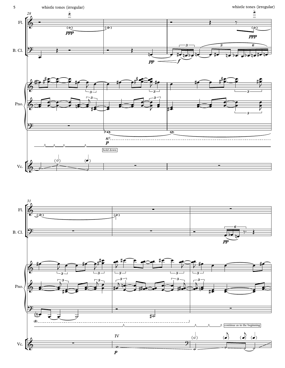

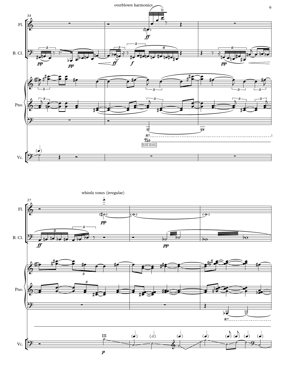

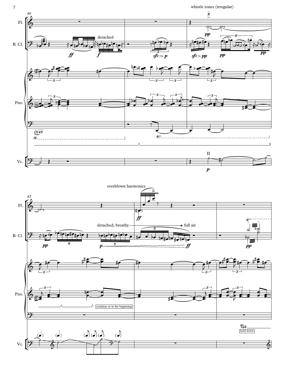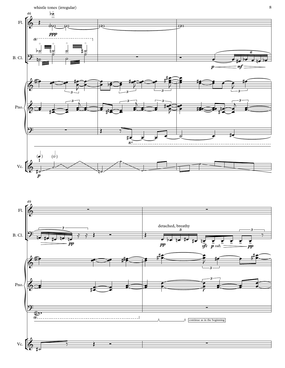

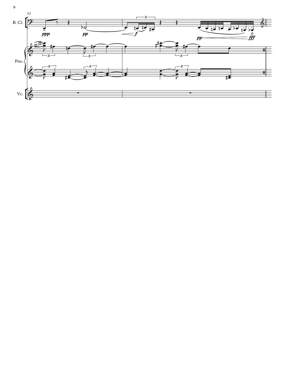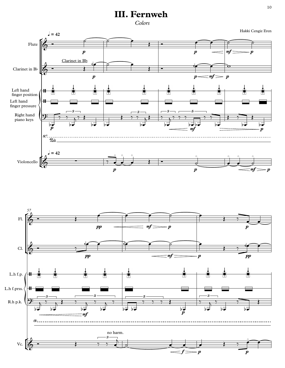## **III. Fernweh**



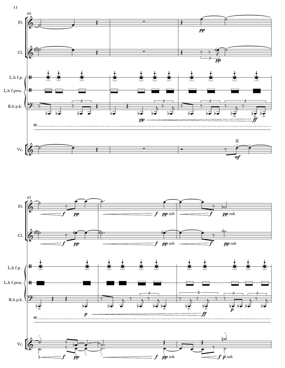



11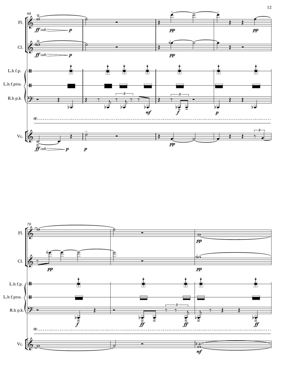